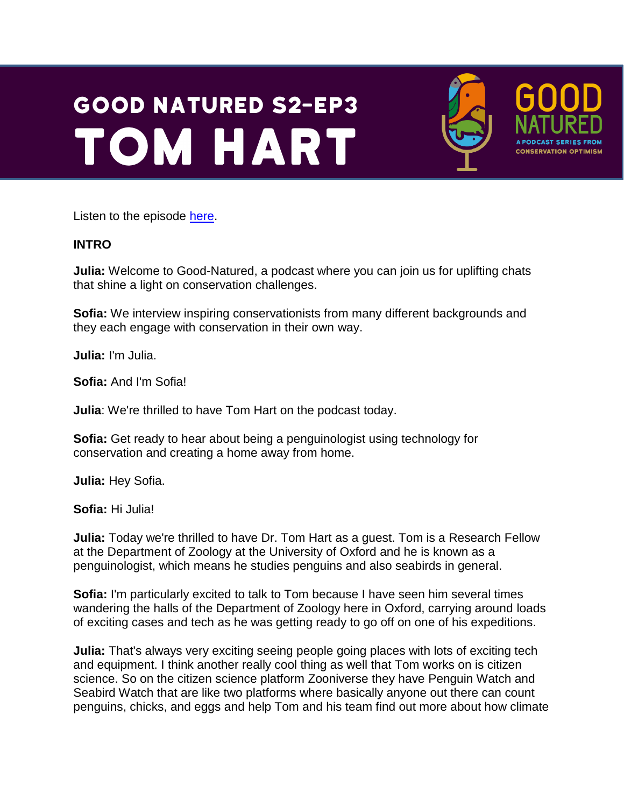# **GOOD NATURED S2-EP3 TOM HART**



Listen to the episode [here.](https://podfollow.com/1514337431)

#### **INTRO**

**Julia:** Welcome to Good-Natured, a podcast where you can join us for uplifting chats that shine a light on conservation challenges.

**Sofia:** We interview inspiring conservationists from many different backgrounds and they each engage with conservation in their own way.

**Julia:** I'm Julia.

**Sofia:** And I'm Sofia!

**Julia**: We're thrilled to have Tom Hart on the podcast today.

**Sofia:** Get ready to hear about being a penguinologist using technology for conservation and creating a home away from home.

**Julia:** Hey Sofia.

**Sofia:** Hi Julia!

**Julia:** Today we're thrilled to have Dr. Tom Hart as a guest. Tom is a Research Fellow at the Department of Zoology at the University of Oxford and he is known as a penguinologist, which means he studies penguins and also seabirds in general.

**Sofia:** I'm particularly excited to talk to Tom because I have seen him several times wandering the halls of the Department of Zoology here in Oxford, carrying around loads of exciting cases and tech as he was getting ready to go off on one of his expeditions.

**Julia:** That's always very exciting seeing people going places with lots of exciting tech and equipment. I think another really cool thing as well that Tom works on is citizen science. So on the citizen science platform Zooniverse they have Penguin Watch and Seabird Watch that are like two platforms where basically anyone out there can count penguins, chicks, and eggs and help Tom and his team find out more about how climate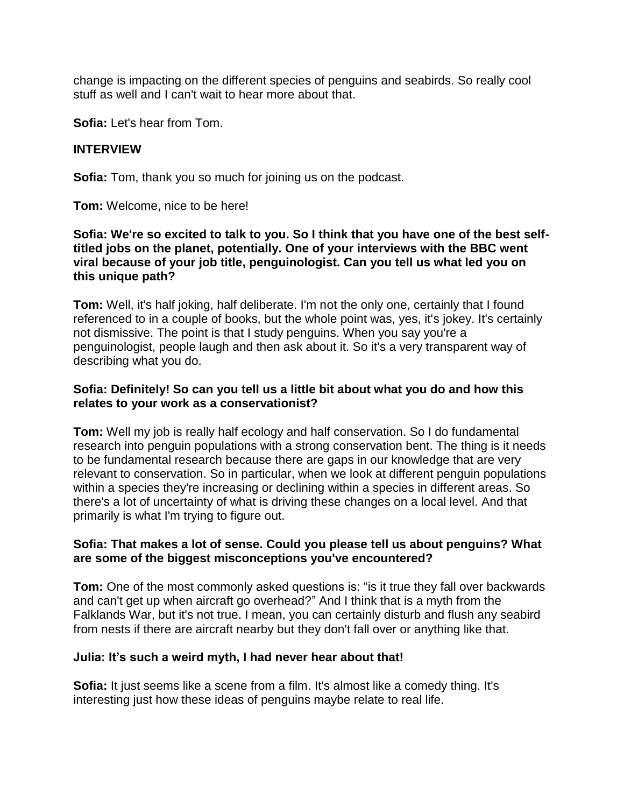change is impacting on the different species of penguins and seabirds. So really cool stuff as well and I can't wait to hear more about that.

**Sofia:** Let's hear from Tom.

#### **INTERVIEW**

**Sofia:** Tom, thank you so much for joining us on the podcast.

**Tom:** Welcome, nice to be here!

#### **Sofia: We're so excited to talk to you. So I think that you have one of the best selftitled jobs on the planet, potentially. One of your interviews with the BBC went viral because of your job title, penguinologist. Can you tell us what led you on this unique path?**

**Tom:** Well, it's half joking, half deliberate. I'm not the only one, certainly that I found referenced to in a couple of books, but the whole point was, yes, it's jokey. It's certainly not dismissive. The point is that I study penguins. When you say you're a penguinologist, people laugh and then ask about it. So it's a very transparent way of describing what you do.

#### **Sofia: Definitely! So can you tell us a little bit about what you do and how this relates to your work as a conservationist?**

**Tom:** Well my job is really half ecology and half conservation. So I do fundamental research into penguin populations with a strong conservation bent. The thing is it needs to be fundamental research because there are gaps in our knowledge that are very relevant to conservation. So in particular, when we look at different penguin populations within a species they're increasing or declining within a species in different areas. So there's a lot of uncertainty of what is driving these changes on a local level. And that primarily is what I'm trying to figure out.

### **Sofia: That makes a lot of sense. Could you please tell us about penguins? What are some of the biggest misconceptions you've encountered?**

**Tom:** One of the most commonly asked questions is: "is it true they fall over backwards and can't get up when aircraft go overhead?" And I think that is a myth from the Falklands War, but it's not true. I mean, you can certainly disturb and flush any seabird from nests if there are aircraft nearby but they don't fall over or anything like that.

### **Julia: It's such a weird myth, I had never hear about that!**

**Sofia:** It just seems like a scene from a film. It's almost like a comedy thing. It's interesting just how these ideas of penguins maybe relate to real life.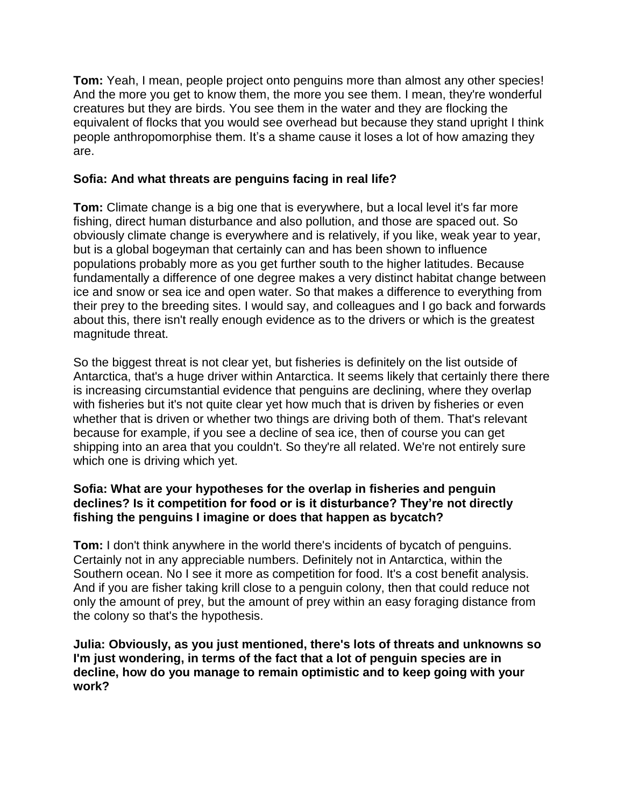**Tom:** Yeah, I mean, people project onto penguins more than almost any other species! And the more you get to know them, the more you see them. I mean, they're wonderful creatures but they are birds. You see them in the water and they are flocking the equivalent of flocks that you would see overhead but because they stand upright I think people anthropomorphise them. It's a shame cause it loses a lot of how amazing they are.

# **Sofia: And what threats are penguins facing in real life?**

**Tom:** Climate change is a big one that is everywhere, but a local level it's far more fishing, direct human disturbance and also pollution, and those are spaced out. So obviously climate change is everywhere and is relatively, if you like, weak year to year, but is a global bogeyman that certainly can and has been shown to influence populations probably more as you get further south to the higher latitudes. Because fundamentally a difference of one degree makes a very distinct habitat change between ice and snow or sea ice and open water. So that makes a difference to everything from their prey to the breeding sites. I would say, and colleagues and I go back and forwards about this, there isn't really enough evidence as to the drivers or which is the greatest magnitude threat.

So the biggest threat is not clear yet, but fisheries is definitely on the list outside of Antarctica, that's a huge driver within Antarctica. It seems likely that certainly there there is increasing circumstantial evidence that penguins are declining, where they overlap with fisheries but it's not quite clear yet how much that is driven by fisheries or even whether that is driven or whether two things are driving both of them. That's relevant because for example, if you see a decline of sea ice, then of course you can get shipping into an area that you couldn't. So they're all related. We're not entirely sure which one is driving which yet.

### **Sofia: What are your hypotheses for the overlap in fisheries and penguin declines? Is it competition for food or is it disturbance? They're not directly fishing the penguins I imagine or does that happen as bycatch?**

**Tom:** I don't think anywhere in the world there's incidents of bycatch of penguins. Certainly not in any appreciable numbers. Definitely not in Antarctica, within the Southern ocean. No I see it more as competition for food. It's a cost benefit analysis. And if you are fisher taking krill close to a penguin colony, then that could reduce not only the amount of prey, but the amount of prey within an easy foraging distance from the colony so that's the hypothesis.

**Julia: Obviously, as you just mentioned, there's lots of threats and unknowns so I'm just wondering, in terms of the fact that a lot of penguin species are in decline, how do you manage to remain optimistic and to keep going with your work?**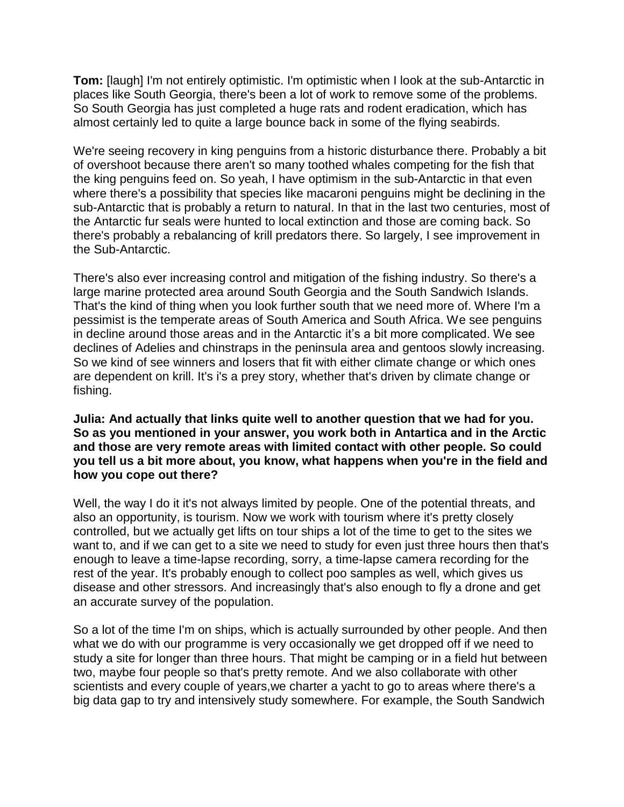**Tom:** [laugh] I'm not entirely optimistic. I'm optimistic when I look at the sub-Antarctic in places like South Georgia, there's been a lot of work to remove some of the problems. So South Georgia has just completed a huge rats and rodent eradication, which has almost certainly led to quite a large bounce back in some of the flying seabirds.

We're seeing recovery in king penguins from a historic disturbance there. Probably a bit of overshoot because there aren't so many toothed whales competing for the fish that the king penguins feed on. So yeah, I have optimism in the sub-Antarctic in that even where there's a possibility that species like macaroni penguins might be declining in the sub-Antarctic that is probably a return to natural. In that in the last two centuries, most of the Antarctic fur seals were hunted to local extinction and those are coming back. So there's probably a rebalancing of krill predators there. So largely, I see improvement in the Sub-Antarctic.

There's also ever increasing control and mitigation of the fishing industry. So there's a large marine protected area around South Georgia and the South Sandwich Islands. That's the kind of thing when you look further south that we need more of. Where I'm a pessimist is the temperate areas of South America and South Africa. We see penguins in decline around those areas and in the Antarctic it's a bit more complicated. We see declines of Adelies and chinstraps in the peninsula area and gentoos slowly increasing. So we kind of see winners and losers that fit with either climate change or which ones are dependent on krill. It's i's a prey story, whether that's driven by climate change or fishing.

#### **Julia: And actually that links quite well to another question that we had for you. So as you mentioned in your answer, you work both in Antartica and in the Arctic and those are very remote areas with limited contact with other people. So could you tell us a bit more about, you know, what happens when you're in the field and how you cope out there?**

Well, the way I do it it's not always limited by people. One of the potential threats, and also an opportunity, is tourism. Now we work with tourism where it's pretty closely controlled, but we actually get lifts on tour ships a lot of the time to get to the sites we want to, and if we can get to a site we need to study for even just three hours then that's enough to leave a time-lapse recording, sorry, a time-lapse camera recording for the rest of the year. It's probably enough to collect poo samples as well, which gives us disease and other stressors. And increasingly that's also enough to fly a drone and get an accurate survey of the population.

So a lot of the time I'm on ships, which is actually surrounded by other people. And then what we do with our programme is very occasionally we get dropped off if we need to study a site for longer than three hours. That might be camping or in a field hut between two, maybe four people so that's pretty remote. And we also collaborate with other scientists and every couple of years, we charter a yacht to go to areas where there's a big data gap to try and intensively study somewhere. For example, the South Sandwich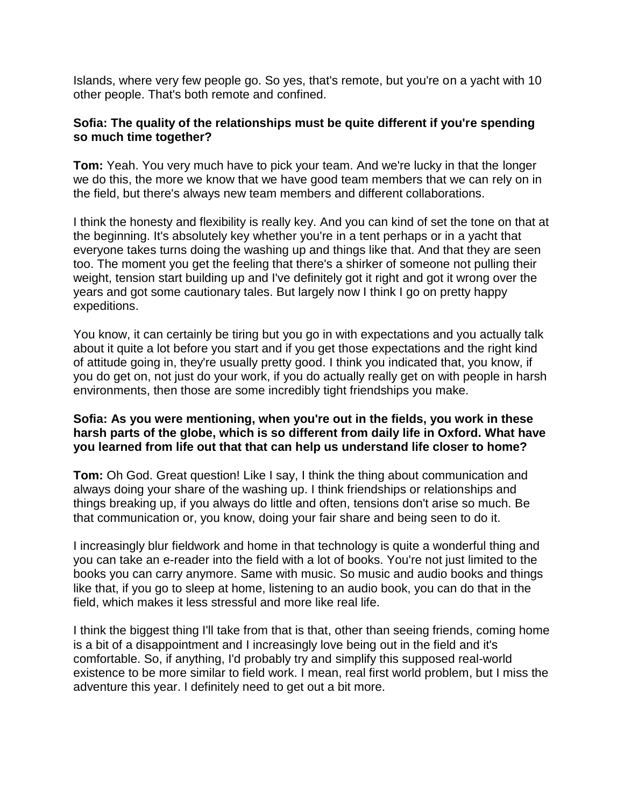Islands, where very few people go. So yes, that's remote, but you're on a yacht with 10 other people. That's both remote and confined.

### **Sofia: The quality of the relationships must be quite different if you're spending so much time together?**

**Tom:** Yeah. You very much have to pick your team. And we're lucky in that the longer we do this, the more we know that we have good team members that we can rely on in the field, but there's always new team members and different collaborations.

I think the honesty and flexibility is really key. And you can kind of set the tone on that at the beginning. It's absolutely key whether you're in a tent perhaps or in a yacht that everyone takes turns doing the washing up and things like that. And that they are seen too. The moment you get the feeling that there's a shirker of someone not pulling their weight, tension start building up and I've definitely got it right and got it wrong over the years and got some cautionary tales. But largely now I think I go on pretty happy expeditions.

You know, it can certainly be tiring but you go in with expectations and you actually talk about it quite a lot before you start and if you get those expectations and the right kind of attitude going in, they're usually pretty good. I think you indicated that, you know, if you do get on, not just do your work, if you do actually really get on with people in harsh environments, then those are some incredibly tight friendships you make.

## **Sofia: As you were mentioning, when you're out in the fields, you work in these harsh parts of the globe, which is so different from daily life in Oxford. What have you learned from life out that that can help us understand life closer to home?**

**Tom:** Oh God. Great question! Like I say, I think the thing about communication and always doing your share of the washing up. I think friendships or relationships and things breaking up, if you always do little and often, tensions don't arise so much. Be that communication or, you know, doing your fair share and being seen to do it.

I increasingly blur fieldwork and home in that technology is quite a wonderful thing and you can take an e-reader into the field with a lot of books. You're not just limited to the books you can carry anymore. Same with music. So music and audio books and things like that, if you go to sleep at home, listening to an audio book, you can do that in the field, which makes it less stressful and more like real life.

I think the biggest thing I'll take from that is that, other than seeing friends, coming home is a bit of a disappointment and I increasingly love being out in the field and it's comfortable. So, if anything, I'd probably try and simplify this supposed real-world existence to be more similar to field work. I mean, real first world problem, but I miss the adventure this year. I definitely need to get out a bit more.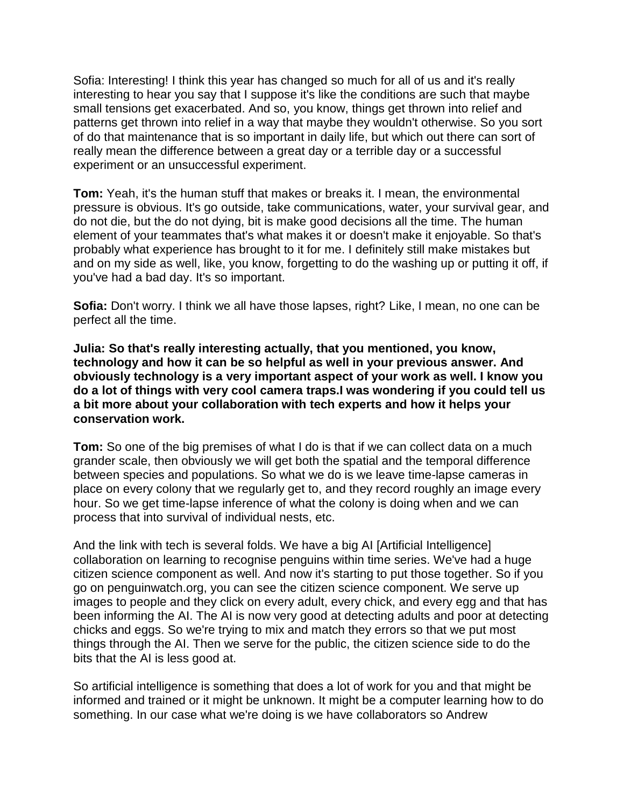Sofia: Interesting! I think this year has changed so much for all of us and it's really interesting to hear you say that I suppose it's like the conditions are such that maybe small tensions get exacerbated. And so, you know, things get thrown into relief and patterns get thrown into relief in a way that maybe they wouldn't otherwise. So you sort of do that maintenance that is so important in daily life, but which out there can sort of really mean the difference between a great day or a terrible day or a successful experiment or an unsuccessful experiment.

**Tom:** Yeah, it's the human stuff that makes or breaks it. I mean, the environmental pressure is obvious. It's go outside, take communications, water, your survival gear, and do not die, but the do not dying, bit is make good decisions all the time. The human element of your teammates that's what makes it or doesn't make it enjoyable. So that's probably what experience has brought to it for me. I definitely still make mistakes but and on my side as well, like, you know, forgetting to do the washing up or putting it off, if you've had a bad day. It's so important.

**Sofia:** Don't worry. I think we all have those lapses, right? Like, I mean, no one can be perfect all the time.

**Julia: So that's really interesting actually, that you mentioned, you know, technology and how it can be so helpful as well in your previous answer. And obviously technology is a very important aspect of your work as well. I know you do a lot of things with very cool camera traps.I was wondering if you could tell us a bit more about your collaboration with tech experts and how it helps your conservation work.** 

**Tom:** So one of the big premises of what I do is that if we can collect data on a much grander scale, then obviously we will get both the spatial and the temporal difference between species and populations. So what we do is we leave time-lapse cameras in place on every colony that we regularly get to, and they record roughly an image every hour. So we get time-lapse inference of what the colony is doing when and we can process that into survival of individual nests, etc.

And the link with tech is several folds. We have a big AI [Artificial Intelligence] collaboration on learning to recognise penguins within time series. We've had a huge citizen science component as well. And now it's starting to put those together. So if you go on penguinwatch.org, you can see the citizen science component. We serve up images to people and they click on every adult, every chick, and every egg and that has been informing the AI. The AI is now very good at detecting adults and poor at detecting chicks and eggs. So we're trying to mix and match they errors so that we put most things through the AI. Then we serve for the public, the citizen science side to do the bits that the AI is less good at.

So artificial intelligence is something that does a lot of work for you and that might be informed and trained or it might be unknown. It might be a computer learning how to do something. In our case what we're doing is we have collaborators so Andrew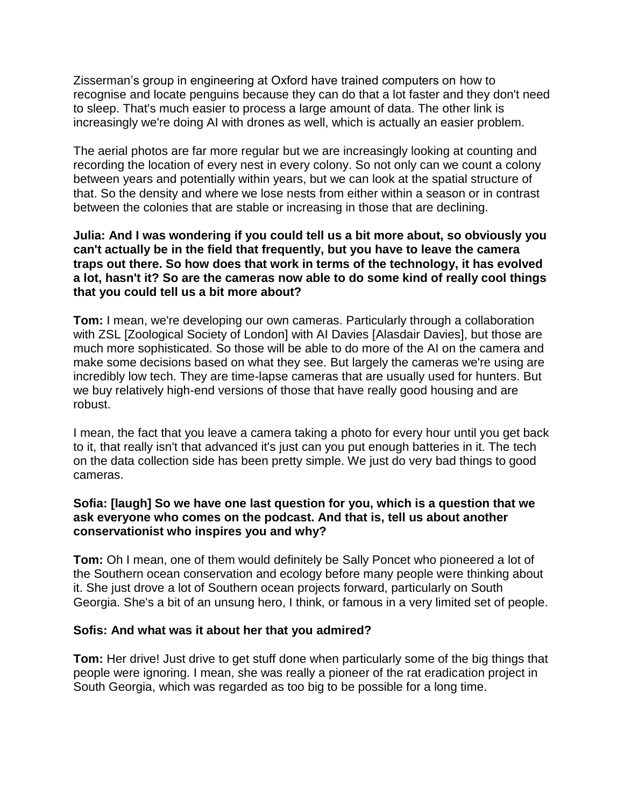Zisserman's group in engineering at Oxford have trained computers on how to recognise and locate penguins because they can do that a lot faster and they don't need to sleep. That's much easier to process a large amount of data. The other link is increasingly we're doing AI with drones as well, which is actually an easier problem.

The aerial photos are far more regular but we are increasingly looking at counting and recording the location of every nest in every colony. So not only can we count a colony between years and potentially within years, but we can look at the spatial structure of that. So the density and where we lose nests from either within a season or in contrast between the colonies that are stable or increasing in those that are declining.

#### **Julia: And I was wondering if you could tell us a bit more about, so obviously you can't actually be in the field that frequently, but you have to leave the camera traps out there. So how does that work in terms of the technology, it has evolved a lot, hasn't it? So are the cameras now able to do some kind of really cool things that you could tell us a bit more about?**

**Tom:** I mean, we're developing our own cameras. Particularly through a collaboration with ZSL [Zoological Society of London] with AI Davies [Alasdair Davies], but those are much more sophisticated. So those will be able to do more of the AI on the camera and make some decisions based on what they see. But largely the cameras we're using are incredibly low tech. They are time-lapse cameras that are usually used for hunters. But we buy relatively high-end versions of those that have really good housing and are robust.

I mean, the fact that you leave a camera taking a photo for every hour until you get back to it, that really isn't that advanced it's just can you put enough batteries in it. The tech on the data collection side has been pretty simple. We just do very bad things to good cameras.

### **Sofia: [laugh] So we have one last question for you, which is a question that we ask everyone who comes on the podcast. And that is, tell us about another conservationist who inspires you and why?**

**Tom:** Oh I mean, one of them would definitely be Sally Poncet who pioneered a lot of the Southern ocean conservation and ecology before many people were thinking about it. She just drove a lot of Southern ocean projects forward, particularly on South Georgia. She's a bit of an unsung hero, I think, or famous in a very limited set of people.

### **Sofis: And what was it about her that you admired?**

**Tom:** Her drive! Just drive to get stuff done when particularly some of the big things that people were ignoring. I mean, she was really a pioneer of the rat eradication project in South Georgia, which was regarded as too big to be possible for a long time.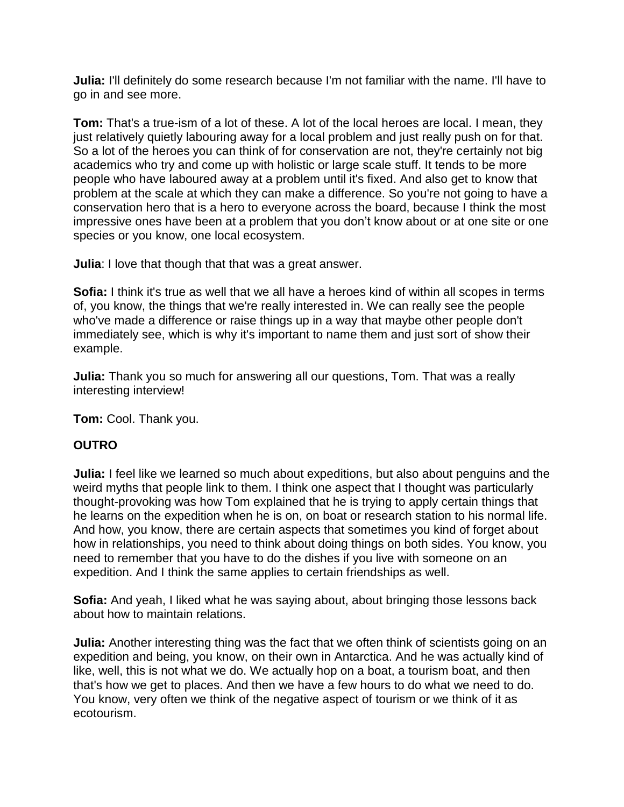**Julia:** I'll definitely do some research because I'm not familiar with the name. I'll have to go in and see more.

**Tom:** That's a true-ism of a lot of these. A lot of the local heroes are local. I mean, they just relatively quietly labouring away for a local problem and just really push on for that. So a lot of the heroes you can think of for conservation are not, they're certainly not big academics who try and come up with holistic or large scale stuff. It tends to be more people who have laboured away at a problem until it's fixed. And also get to know that problem at the scale at which they can make a difference. So you're not going to have a conservation hero that is a hero to everyone across the board, because I think the most impressive ones have been at a problem that you don't know about or at one site or one species or you know, one local ecosystem.

**Julia**: I love that though that that was a great answer.

**Sofia:** I think it's true as well that we all have a heroes kind of within all scopes in terms of, you know, the things that we're really interested in. We can really see the people who've made a difference or raise things up in a way that maybe other people don't immediately see, which is why it's important to name them and just sort of show their example.

**Julia:** Thank you so much for answering all our questions, Tom. That was a really interesting interview!

**Tom:** Cool. Thank you.

### **OUTRO**

**Julia:** I feel like we learned so much about expeditions, but also about penguins and the weird myths that people link to them. I think one aspect that I thought was particularly thought-provoking was how Tom explained that he is trying to apply certain things that he learns on the expedition when he is on, on boat or research station to his normal life. And how, you know, there are certain aspects that sometimes you kind of forget about how in relationships, you need to think about doing things on both sides. You know, you need to remember that you have to do the dishes if you live with someone on an expedition. And I think the same applies to certain friendships as well.

**Sofia:** And yeah, I liked what he was saying about, about bringing those lessons back about how to maintain relations.

**Julia:** Another interesting thing was the fact that we often think of scientists going on an expedition and being, you know, on their own in Antarctica. And he was actually kind of like, well, this is not what we do. We actually hop on a boat, a tourism boat, and then that's how we get to places. And then we have a few hours to do what we need to do. You know, very often we think of the negative aspect of tourism or we think of it as ecotourism.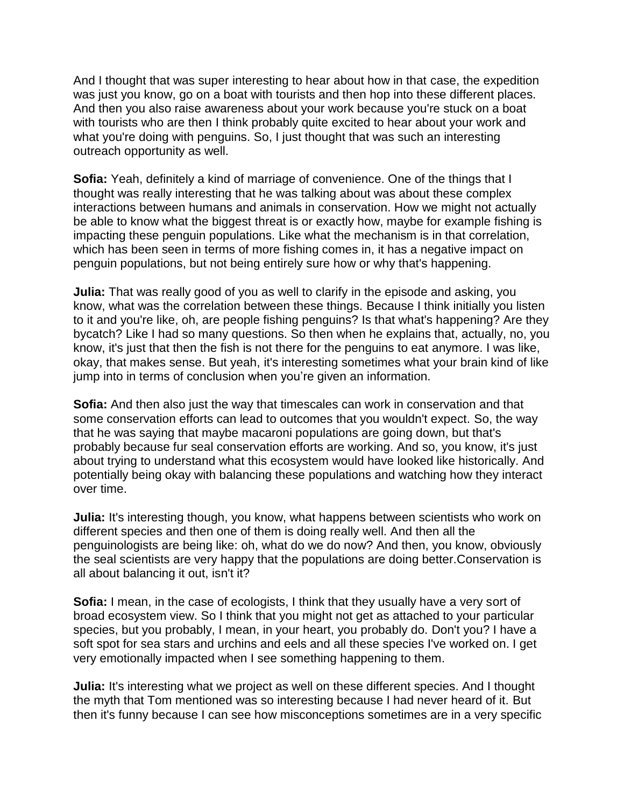And I thought that was super interesting to hear about how in that case, the expedition was just you know, go on a boat with tourists and then hop into these different places. And then you also raise awareness about your work because you're stuck on a boat with tourists who are then I think probably quite excited to hear about your work and what you're doing with penguins. So, I just thought that was such an interesting outreach opportunity as well.

**Sofia:** Yeah, definitely a kind of marriage of convenience. One of the things that I thought was really interesting that he was talking about was about these complex interactions between humans and animals in conservation. How we might not actually be able to know what the biggest threat is or exactly how, maybe for example fishing is impacting these penguin populations. Like what the mechanism is in that correlation, which has been seen in terms of more fishing comes in, it has a negative impact on penguin populations, but not being entirely sure how or why that's happening.

**Julia:** That was really good of you as well to clarify in the episode and asking, you know, what was the correlation between these things. Because I think initially you listen to it and you're like, oh, are people fishing penguins? Is that what's happening? Are they bycatch? Like I had so many questions. So then when he explains that, actually, no, you know, it's just that then the fish is not there for the penguins to eat anymore. I was like, okay, that makes sense. But yeah, it's interesting sometimes what your brain kind of like jump into in terms of conclusion when you're given an information.

**Sofia:** And then also just the way that timescales can work in conservation and that some conservation efforts can lead to outcomes that you wouldn't expect. So, the way that he was saying that maybe macaroni populations are going down, but that's probably because fur seal conservation efforts are working. And so, you know, it's just about trying to understand what this ecosystem would have looked like historically. And potentially being okay with balancing these populations and watching how they interact over time.

**Julia:** It's interesting though, you know, what happens between scientists who work on different species and then one of them is doing really well. And then all the penguinologists are being like: oh, what do we do now? And then, you know, obviously the seal scientists are very happy that the populations are doing better.Conservation is all about balancing it out, isn't it?

**Sofia:** I mean, in the case of ecologists, I think that they usually have a very sort of broad ecosystem view. So I think that you might not get as attached to your particular species, but you probably, I mean, in your heart, you probably do. Don't you? I have a soft spot for sea stars and urchins and eels and all these species I've worked on. I get very emotionally impacted when I see something happening to them.

**Julia:** It's interesting what we project as well on these different species. And I thought the myth that Tom mentioned was so interesting because I had never heard of it. But then it's funny because I can see how misconceptions sometimes are in a very specific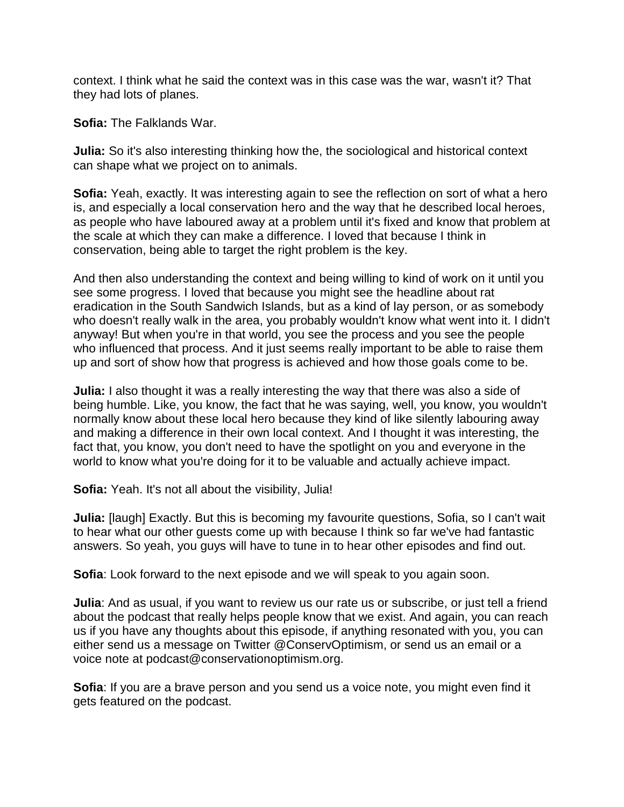context. I think what he said the context was in this case was the war, wasn't it? That they had lots of planes.

**Sofia:** The Falklands War.

**Julia:** So it's also interesting thinking how the, the sociological and historical context can shape what we project on to animals.

**Sofia:** Yeah, exactly. It was interesting again to see the reflection on sort of what a hero is, and especially a local conservation hero and the way that he described local heroes, as people who have laboured away at a problem until it's fixed and know that problem at the scale at which they can make a difference. I loved that because I think in conservation, being able to target the right problem is the key.

And then also understanding the context and being willing to kind of work on it until you see some progress. I loved that because you might see the headline about rat eradication in the South Sandwich Islands, but as a kind of lay person, or as somebody who doesn't really walk in the area, you probably wouldn't know what went into it. I didn't anyway! But when you're in that world, you see the process and you see the people who influenced that process. And it just seems really important to be able to raise them up and sort of show how that progress is achieved and how those goals come to be.

**Julia:** I also thought it was a really interesting the way that there was also a side of being humble. Like, you know, the fact that he was saying, well, you know, you wouldn't normally know about these local hero because they kind of like silently labouring away and making a difference in their own local context. And I thought it was interesting, the fact that, you know, you don't need to have the spotlight on you and everyone in the world to know what you're doing for it to be valuable and actually achieve impact.

**Sofia:** Yeah. It's not all about the visibility, Julia!

**Julia:** [laugh] Exactly. But this is becoming my favourite questions, Sofia, so I can't wait to hear what our other guests come up with because I think so far we've had fantastic answers. So yeah, you guys will have to tune in to hear other episodes and find out.

**Sofia**: Look forward to the next episode and we will speak to you again soon.

**Julia**: And as usual, if you want to review us our rate us or subscribe, or just tell a friend about the podcast that really helps people know that we exist. And again, you can reach us if you have any thoughts about this episode, if anything resonated with you, you can either send us a message on Twitter @ConservOptimism, or send us an email or a voice note at podcast@conservationoptimism.org.

**Sofia**: If you are a brave person and you send us a voice note, you might even find it gets featured on the podcast.